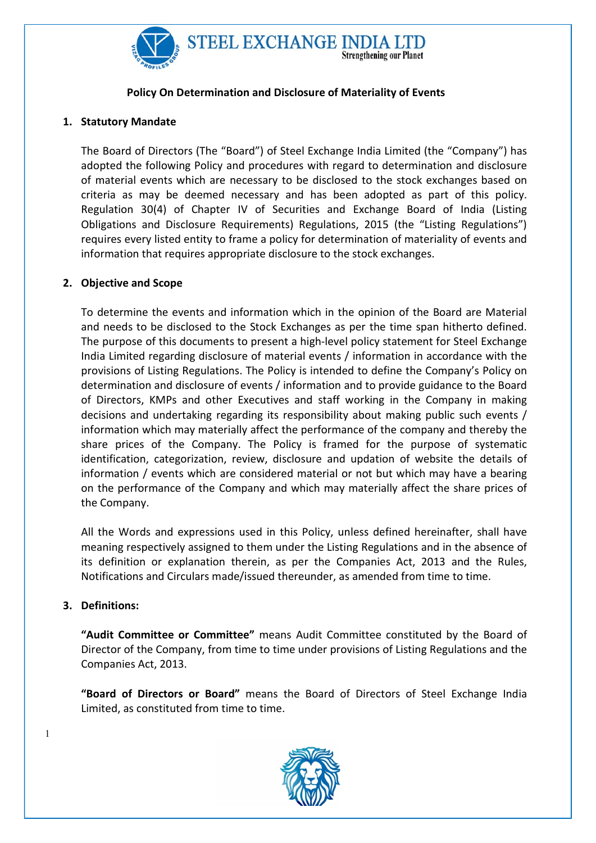

## Policy On Determination and Disclosure of Materiality of Events

# 1. Statutory Mandate

The Board of Directors (The "Board") of Steel Exchange India Limited (the "Company") has adopted the following Policy and procedures with regard to determination and disclosure of material events which are necessary to be disclosed to the stock exchanges based on criteria as may be deemed necessary and has been adopted as part of this policy. Regulation 30(4) of Chapter IV of Securities and Exchange Board of India (Listing Obligations and Disclosure Requirements) Regulations, 2015 (the "Listing Regulations") requires every listed entity to frame a policy for determination of materiality of events and information that requires appropriate disclosure to the stock exchanges.

# 2. Objective and Scope

To determine the events and information which in the opinion of the Board are Material and needs to be disclosed to the Stock Exchanges as per the time span hitherto defined. The purpose of this documents to present a high-level policy statement for Steel Exchange India Limited regarding disclosure of material events / information in accordance with the provisions of Listing Regulations. The Policy is intended to define the Company's Policy on determination and disclosure of events / information and to provide guidance to the Board of Directors, KMPs and other Executives and staff working in the Company in making decisions and undertaking regarding its responsibility about making public such events / information which may materially affect the performance of the company and thereby the share prices of the Company. The Policy is framed for the purpose of systematic identification, categorization, review, disclosure and updation of website the details of information / events which are considered material or not but which may have a bearing on the performance of the Company and which may materially affect the share prices of the Company.

All the Words and expressions used in this Policy, unless defined hereinafter, shall have meaning respectively assigned to them under the Listing Regulations and in the absence of its definition or explanation therein, as per the Companies Act, 2013 and the Rules, Notifications and Circulars made/issued thereunder, as amended from time to time.

### 3. Definitions:

1

"Audit Committee or Committee" means Audit Committee constituted by the Board of Director of the Company, from time to time under provisions of Listing Regulations and the Companies Act, 2013.

"Board of Directors or Board" means the Board of Directors of Steel Exchange India Limited, as constituted from time to time.

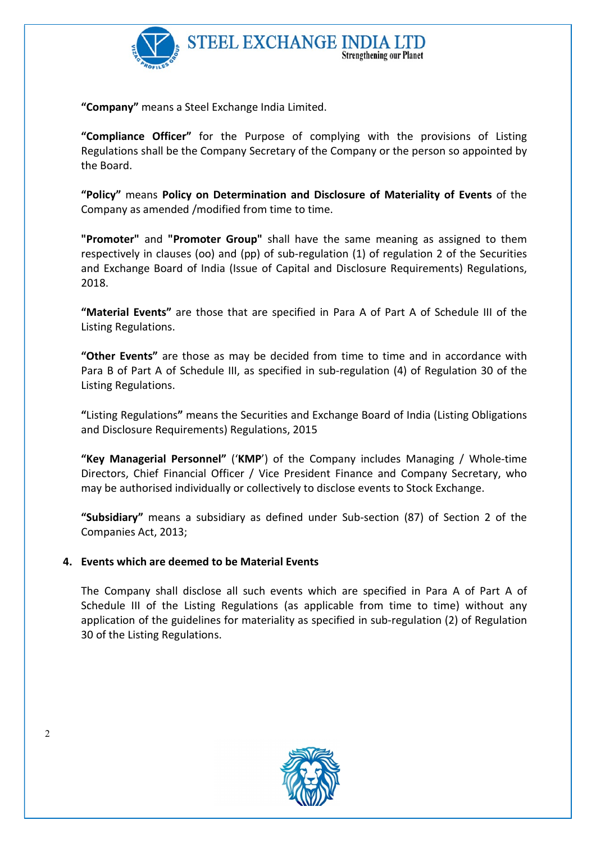

"Company" means a Steel Exchange India Limited.

"Compliance Officer" for the Purpose of complying with the provisions of Listing Regulations shall be the Company Secretary of the Company or the person so appointed by the Board.

"Policy" means Policy on Determination and Disclosure of Materiality of Events of the Company as amended /modified from time to time.

"Promoter" and "Promoter Group" shall have the same meaning as assigned to them respectively in clauses (oo) and (pp) of sub-regulation (1) of regulation 2 of the Securities and Exchange Board of India (Issue of Capital and Disclosure Requirements) Regulations, 2018.

"Material Events" are those that are specified in Para A of Part A of Schedule III of the Listing Regulations.

"Other Events" are those as may be decided from time to time and in accordance with Para B of Part A of Schedule III, as specified in sub-regulation (4) of Regulation 30 of the Listing Regulations.

"Listing Regulations" means the Securities and Exchange Board of India (Listing Obligations and Disclosure Requirements) Regulations, 2015

"Key Managerial Personnel" ('KMP') of the Company includes Managing / Whole-time Directors, Chief Financial Officer / Vice President Finance and Company Secretary, who may be authorised individually or collectively to disclose events to Stock Exchange.

"Subsidiary" means a subsidiary as defined under Sub-section (87) of Section 2 of the Companies Act, 2013;

### 4. Events which are deemed to be Material Events

The Company shall disclose all such events which are specified in Para A of Part A of Schedule III of the Listing Regulations (as applicable from time to time) without any application of the guidelines for materiality as specified in sub-regulation (2) of Regulation 30 of the Listing Regulations.



2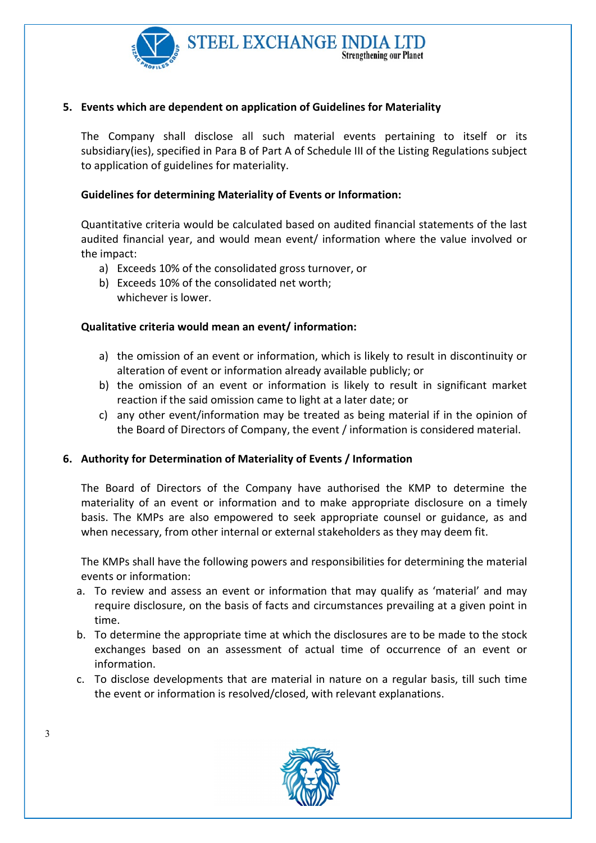

# 5. Events which are dependent on application of Guidelines for Materiality

The Company shall disclose all such material events pertaining to itself or its subsidiary(ies), specified in Para B of Part A of Schedule III of the Listing Regulations subject to application of guidelines for materiality.

### Guidelines for determining Materiality of Events or Information:

Quantitative criteria would be calculated based on audited financial statements of the last audited financial year, and would mean event/ information where the value involved or the impact:

- a) Exceeds 10% of the consolidated gross turnover, or
- b) Exceeds 10% of the consolidated net worth; whichever is lower.

### Qualitative criteria would mean an event/ information:

- a) the omission of an event or information, which is likely to result in discontinuity or alteration of event or information already available publicly; or
- b) the omission of an event or information is likely to result in significant market reaction if the said omission came to light at a later date; or
- c) any other event/information may be treated as being material if in the opinion of the Board of Directors of Company, the event / information is considered material.

### 6. Authority for Determination of Materiality of Events / Information

The Board of Directors of the Company have authorised the KMP to determine the materiality of an event or information and to make appropriate disclosure on a timely basis. The KMPs are also empowered to seek appropriate counsel or guidance, as and when necessary, from other internal or external stakeholders as they may deem fit.

The KMPs shall have the following powers and responsibilities for determining the material events or information:

- a. To review and assess an event or information that may qualify as 'material' and may require disclosure, on the basis of facts and circumstances prevailing at a given point in time.
- b. To determine the appropriate time at which the disclosures are to be made to the stock exchanges based on an assessment of actual time of occurrence of an event or information.
- c. To disclose developments that are material in nature on a regular basis, till such time the event or information is resolved/closed, with relevant explanations.



3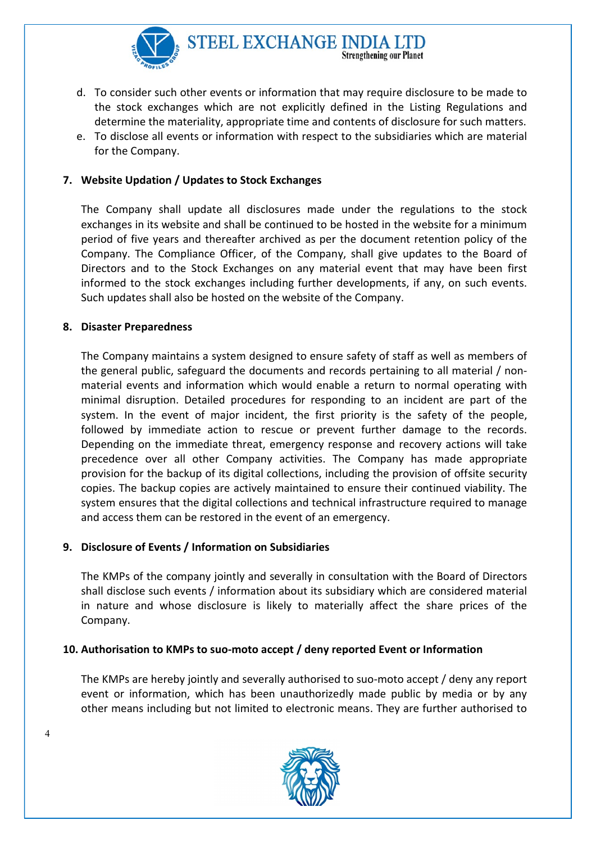

d. To consider such other events or information that may require disclosure to be made to the stock exchanges which are not explicitly defined in the Listing Regulations and determine the materiality, appropriate time and contents of disclosure for such matters.

**Strengthening our Planet** 

e. To disclose all events or information with respect to the subsidiaries which are material for the Company.

# 7. Website Updation / Updates to Stock Exchanges

The Company shall update all disclosures made under the regulations to the stock exchanges in its website and shall be continued to be hosted in the website for a minimum period of five years and thereafter archived as per the document retention policy of the Company. The Compliance Officer, of the Company, shall give updates to the Board of Directors and to the Stock Exchanges on any material event that may have been first informed to the stock exchanges including further developments, if any, on such events. Such updates shall also be hosted on the website of the Company.

#### 8. Disaster Preparedness

The Company maintains a system designed to ensure safety of staff as well as members of the general public, safeguard the documents and records pertaining to all material / nonmaterial events and information which would enable a return to normal operating with minimal disruption. Detailed procedures for responding to an incident are part of the system. In the event of major incident, the first priority is the safety of the people, followed by immediate action to rescue or prevent further damage to the records. Depending on the immediate threat, emergency response and recovery actions will take precedence over all other Company activities. The Company has made appropriate provision for the backup of its digital collections, including the provision of offsite security copies. The backup copies are actively maintained to ensure their continued viability. The system ensures that the digital collections and technical infrastructure required to manage and access them can be restored in the event of an emergency.

### 9. Disclosure of Events / Information on Subsidiaries

The KMPs of the company jointly and severally in consultation with the Board of Directors shall disclose such events / information about its subsidiary which are considered material in nature and whose disclosure is likely to materially affect the share prices of the Company.

### 10. Authorisation to KMPs to suo-moto accept / deny reported Event or Information

The KMPs are hereby jointly and severally authorised to suo-moto accept / deny any report event or information, which has been unauthorizedly made public by media or by any other means including but not limited to electronic means. They are further authorised to



4